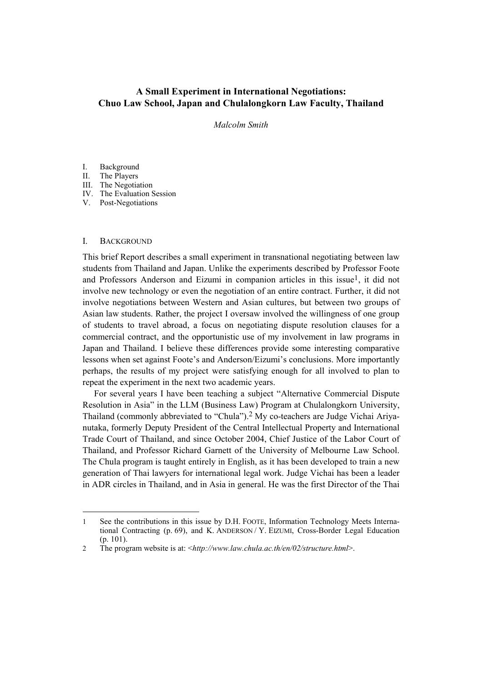# **A Small Experiment in International Negotiations: Chuo Law School, Japan and Chulalongkorn Law Faculty, Thailand**

*Malcolm Smith* 

# I. Background

- II. The Players
- III. The Negotiation
- IV. The Evaluation Session
- V. Post-Negotiations

## I. BACKGROUND

l

This brief Report describes a small experiment in transnational negotiating between law students from Thailand and Japan. Unlike the experiments described by Professor Foote and Professors Anderson and Eizumi in companion articles in this issue<sup>1</sup>, it did not involve new technology or even the negotiation of an entire contract. Further, it did not involve negotiations between Western and Asian cultures, but between two groups of Asian law students. Rather, the project I oversaw involved the willingness of one group of students to travel abroad, a focus on negotiating dispute resolution clauses for a commercial contract, and the opportunistic use of my involvement in law programs in Japan and Thailand. I believe these differences provide some interesting comparative lessons when set against Foote's and Anderson/Eizumi's conclusions. More importantly perhaps, the results of my project were satisfying enough for all involved to plan to repeat the experiment in the next two academic years.

For several years I have been teaching a subject "Alternative Commercial Dispute Resolution in Asia" in the LLM (Business Law) Program at Chulalongkorn University, Thailand (commonly abbreviated to "Chula").[2](#page-0-1) My co-teachers are Judge Vichai Ariyanutaka, formerly Deputy President of the Central Intellectual Property and International Trade Court of Thailand, and since October 2004, Chief Justice of the Labor Court of Thailand, and Professor Richard Garnett of the University of Melbourne Law School. The Chula program is taught entirely in English, as it has been developed to train a new generation of Thai lawyers for international legal work. Judge Vichai has been a leader in ADR circles in Thailand, and in Asia in general. He was the first Director of the Thai

<span id="page-0-0"></span><sup>1</sup> See the contributions in this issue by D.H. FOOTE, Information Technology Meets International Contracting (p. 69), and K. ANDERSON / Y. EIZUMI, Cross-Border Legal Education (p. 101).

<span id="page-0-1"></span><sup>2</sup> The program website is at: <*http://www.law.chula.ac.th/en/02/structure.html*>.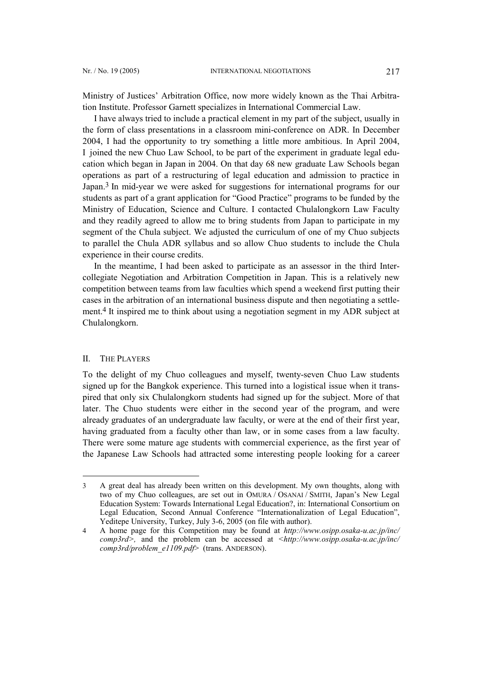Ministry of Justices' Arbitration Office, now more widely known as the Thai Arbitration Institute. Professor Garnett specializes in International Commercial Law.

I have always tried to include a practical element in my part of the subject, usually in the form of class presentations in a classroom mini-conference on ADR. In December 2004, I had the opportunity to try something a little more ambitious. In April 2004, I joined the new Chuo Law School, to be part of the experiment in graduate legal education which began in Japan in 2004. On that day 68 new graduate Law Schools began operations as part of a restructuring of legal education and admission to practice in Japan.[3](#page-1-0) In mid-year we were asked for suggestions for international programs for our students as part of a grant application for "Good Practice" programs to be funded by the Ministry of Education, Science and Culture. I contacted Chulalongkorn Law Faculty and they readily agreed to allow me to bring students from Japan to participate in my segment of the Chula subject. We adjusted the curriculum of one of my Chuo subjects to parallel the Chula ADR syllabus and so allow Chuo students to include the Chula experience in their course credits.

In the meantime, I had been asked to participate as an assessor in the third Intercollegiate Negotiation and Arbitration Competition in Japan. This is a relatively new competition between teams from law faculties which spend a weekend first putting their cases in the arbitration of an international business dispute and then negotiating a settlement.[4](#page-1-1) It inspired me to think about using a negotiation segment in my ADR subject at Chulalongkorn.

# II. THE PLAYERS

 $\overline{\phantom{a}}$ 

To the delight of my Chuo colleagues and myself, twenty-seven Chuo Law students signed up for the Bangkok experience. This turned into a logistical issue when it transpired that only six Chulalongkorn students had signed up for the subject. More of that later. The Chuo students were either in the second year of the program, and were already graduates of an undergraduate law faculty, or were at the end of their first year, having graduated from a faculty other than law, or in some cases from a law faculty. There were some mature age students with commercial experience, as the first year of the Japanese Law Schools had attracted some interesting people looking for a career

<span id="page-1-0"></span><sup>3</sup> A great deal has already been written on this development. My own thoughts, along with two of my Chuo colleagues, are set out in OMURA / OSANAI / SMITH, Japan's New Legal Education System: Towards International Legal Education?, in: International Consortium on Legal Education, Second Annual Conference "Internationalization of Legal Education", Yeditepe University, Turkey, July 3-6, 2005 (on file with author).

<span id="page-1-1"></span><sup>4</sup> A home page for this Competition may be found at *[http://www.osipp.osaka-u.ac.jp/inc/](http://www.osipp.osaka-u.ac.jp/inc/ comp3rd) [comp3rd>](http://www.osipp.osaka-u.ac.jp/inc/ comp3rd),* and the problem can be accessed at *<http://www.osipp.osaka-u.ac.jp/inc/ comp3rd/problem\_e1109.pdf*> (trans. ANDERSON).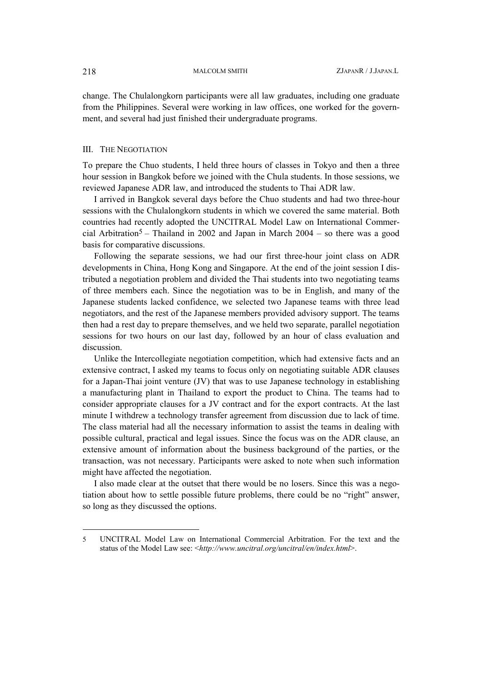change. The Chulalongkorn participants were all law graduates, including one graduate from the Philippines. Several were working in law offices, one worked for the government, and several had just finished their undergraduate programs.

### III. THE NEGOTIATION

To prepare the Chuo students, I held three hours of classes in Tokyo and then a three hour session in Bangkok before we joined with the Chula students. In those sessions, we reviewed Japanese ADR law, and introduced the students to Thai ADR law.

I arrived in Bangkok several days before the Chuo students and had two three-hour sessions with the Chulalongkorn students in which we covered the same material. Both countries had recently adopted the UNCITRAL Model Law on International Commer-cial Arbitration<sup>[5](#page-2-0)</sup> – Thailand in 2002 and Japan in March 2004 – so there was a good basis for comparative discussions.

Following the separate sessions, we had our first three-hour joint class on ADR developments in China, Hong Kong and Singapore. At the end of the joint session I distributed a negotiation problem and divided the Thai students into two negotiating teams of three members each. Since the negotiation was to be in English, and many of the Japanese students lacked confidence, we selected two Japanese teams with three lead negotiators, and the rest of the Japanese members provided advisory support. The teams then had a rest day to prepare themselves, and we held two separate, parallel negotiation sessions for two hours on our last day, followed by an hour of class evaluation and discussion.

Unlike the Intercollegiate negotiation competition, which had extensive facts and an extensive contract, I asked my teams to focus only on negotiating suitable ADR clauses for a Japan-Thai joint venture (JV) that was to use Japanese technology in establishing a manufacturing plant in Thailand to export the product to China. The teams had to consider appropriate clauses for a JV contract and for the export contracts. At the last minute I withdrew a technology transfer agreement from discussion due to lack of time. The class material had all the necessary information to assist the teams in dealing with possible cultural, practical and legal issues. Since the focus was on the ADR clause, an extensive amount of information about the business background of the parties, or the transaction, was not necessary. Participants were asked to note when such information might have affected the negotiation.

I also made clear at the outset that there would be no losers. Since this was a negotiation about how to settle possible future problems, there could be no "right" answer, so long as they discussed the options.

l

<span id="page-2-0"></span><sup>5</sup> UNCITRAL Model Law on International Commercial Arbitration. For the text and the status of the Model Law see: <*http://www.uncitral.org/uncitral/en/index.html*>.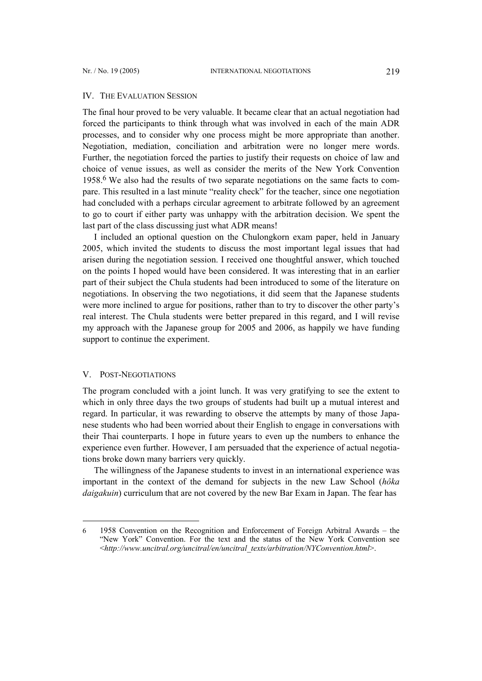#### IV. THE EVALUATION SESSION

The final hour proved to be very valuable. It became clear that an actual negotiation had forced the participants to think through what was involved in each of the main ADR processes, and to consider why one process might be more appropriate than another. Negotiation, mediation, conciliation and arbitration were no longer mere words. Further, the negotiation forced the parties to justify their requests on choice of law and choice of venue issues, as well as consider the merits of the New York Convention 1958.[6](#page-3-0) We also had the results of two separate negotiations on the same facts to compare. This resulted in a last minute "reality check" for the teacher, since one negotiation had concluded with a perhaps circular agreement to arbitrate followed by an agreement to go to court if either party was unhappy with the arbitration decision. We spent the last part of the class discussing just what ADR means!

I included an optional question on the Chulongkorn exam paper, held in January 2005, which invited the students to discuss the most important legal issues that had arisen during the negotiation session. I received one thoughtful answer, which touched on the points I hoped would have been considered. It was interesting that in an earlier part of their subject the Chula students had been introduced to some of the literature on negotiations. In observing the two negotiations, it did seem that the Japanese students were more inclined to argue for positions, rather than to try to discover the other party's real interest. The Chula students were better prepared in this regard, and I will revise my approach with the Japanese group for 2005 and 2006, as happily we have funding support to continue the experiment.

### V. POST-NEGOTIATIONS

 $\overline{\phantom{a}}$ 

The program concluded with a joint lunch. It was very gratifying to see the extent to which in only three days the two groups of students had built up a mutual interest and regard. In particular, it was rewarding to observe the attempts by many of those Japanese students who had been worried about their English to engage in conversations with their Thai counterparts. I hope in future years to even up the numbers to enhance the experience even further. However, I am persuaded that the experience of actual negotiations broke down many barriers very quickly.

The willingness of the Japanese students to invest in an international experience was important in the context of the demand for subjects in the new Law School (*hôka daigakuin*) curriculum that are not covered by the new Bar Exam in Japan. The fear has

<span id="page-3-0"></span><sup>6</sup> 1958 Convention on the Recognition and Enforcement of Foreign Arbitral Awards – the "New York" Convention. For the text and the status of the New York Convention see <*http://www.uncitral.org/uncitral/en/uncitral\_texts/arbitration/NYConvention.html*>.